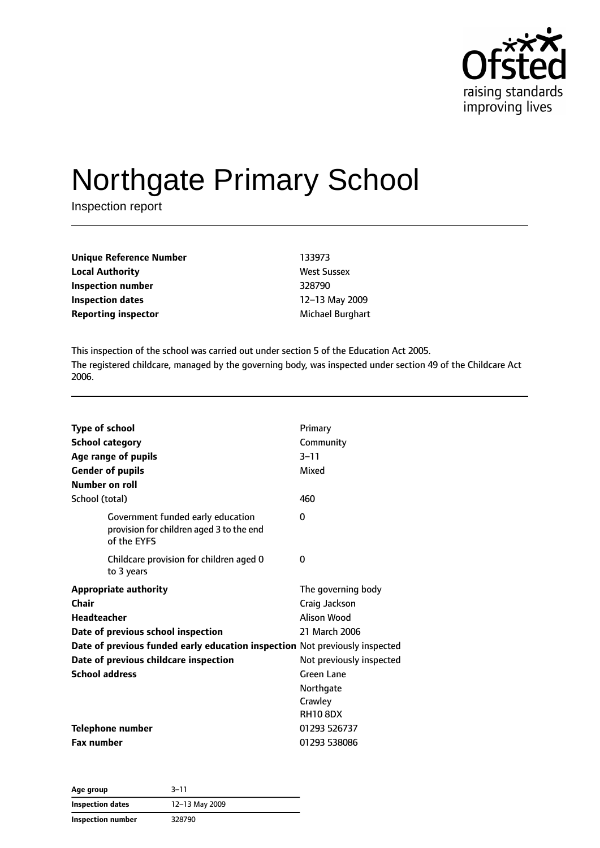

# Northgate Primary School

Inspection report

| <b>Unique Reference Number</b> | 133973             |
|--------------------------------|--------------------|
| <b>Local Authority</b>         | <b>West Sussex</b> |
| Inspection number              | 328790             |
| <b>Inspection dates</b>        | 12-13 May 2009     |
| <b>Reporting inspector</b>     | Michael Burghart   |

This inspection of the school was carried out under section 5 of the Education Act 2005. The registered childcare, managed by the governing body, was inspected under section 49 of the Childcare Act 2006.

| Type of school<br><b>School category</b><br>Age range of pupils<br><b>Gender of pupils</b><br>Number on roll<br>School (total)                                                                                                                     | Primary<br>Community<br>$3 - 11$<br>Mixed<br>460                                                                                                         |
|----------------------------------------------------------------------------------------------------------------------------------------------------------------------------------------------------------------------------------------------------|----------------------------------------------------------------------------------------------------------------------------------------------------------|
| Government funded early education<br>provision for children aged 3 to the end<br>of the EYFS                                                                                                                                                       | 0                                                                                                                                                        |
| Childcare provision for children aged 0<br>to 3 years                                                                                                                                                                                              | 0                                                                                                                                                        |
| <b>Appropriate authority</b><br>Chair<br><b>Headteacher</b><br>Date of previous school inspection<br>Date of previous funded early education inspection Not previously inspected<br>Date of previous childcare inspection<br><b>School address</b> | The governing body<br>Craig Jackson<br>Alison Wood<br>21 March 2006<br>Not previously inspected<br>Green Lane<br>Northgate<br>Crawley<br><b>RH10 8DX</b> |
| <b>Telephone number</b><br><b>Fax number</b>                                                                                                                                                                                                       | 01293 526737<br>01293 538086                                                                                                                             |

| Age group               | $3 - 11$       |  |
|-------------------------|----------------|--|
| <b>Inspection dates</b> | 12-13 May 2009 |  |
| Inspection number       | 328790         |  |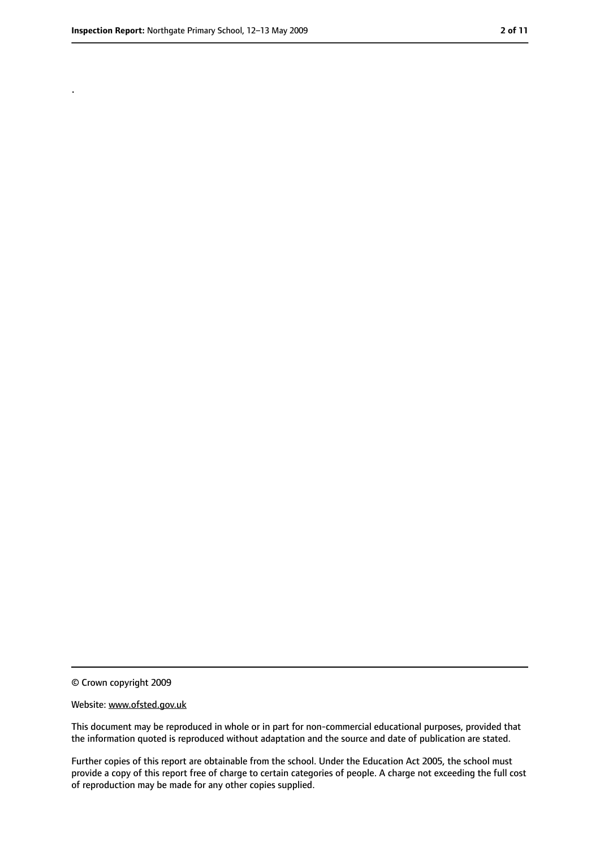.

<sup>©</sup> Crown copyright 2009

Website: www.ofsted.gov.uk

This document may be reproduced in whole or in part for non-commercial educational purposes, provided that the information quoted is reproduced without adaptation and the source and date of publication are stated.

Further copies of this report are obtainable from the school. Under the Education Act 2005, the school must provide a copy of this report free of charge to certain categories of people. A charge not exceeding the full cost of reproduction may be made for any other copies supplied.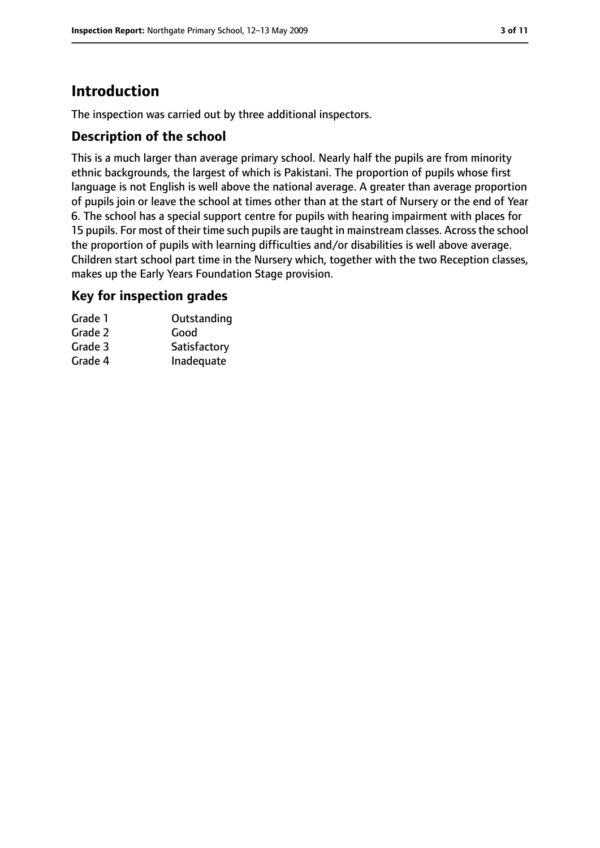# **Introduction**

The inspection was carried out by three additional inspectors.

### **Description of the school**

This is a much larger than average primary school. Nearly half the pupils are from minority ethnic backgrounds, the largest of which is Pakistani. The proportion of pupils whose first language is not English is well above the national average. A greater than average proportion of pupils join or leave the school at times other than at the start of Nursery or the end of Year 6. The school has a special support centre for pupils with hearing impairment with places for 15 pupils. For most of their time such pupils are taught in mainstream classes. Acrossthe school the proportion of pupils with learning difficulties and/or disabilities is well above average. Children start school part time in the Nursery which, together with the two Reception classes, makes up the Early Years Foundation Stage provision.

### **Key for inspection grades**

| Grade 1 | Outstanding  |
|---------|--------------|
| Grade 2 | Good         |
| Grade 3 | Satisfactory |
| Grade 4 | Inadequate   |
|         |              |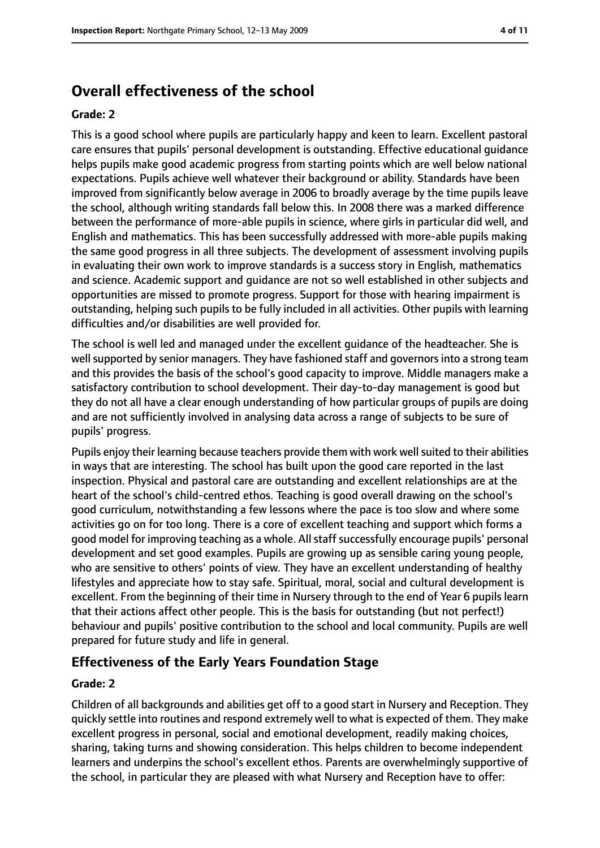# **Overall effectiveness of the school**

#### **Grade: 2**

This is a good school where pupils are particularly happy and keen to learn. Excellent pastoral care ensures that pupils' personal development is outstanding. Effective educational guidance helps pupils make good academic progress from starting points which are well below national expectations. Pupils achieve well whatever their background or ability. Standards have been improved from significantly below average in 2006 to broadly average by the time pupils leave the school, although writing standards fall below this. In 2008 there was a marked difference between the performance of more-able pupils in science, where girls in particular did well, and English and mathematics. This has been successfully addressed with more-able pupils making the same good progress in all three subjects. The development of assessment involving pupils in evaluating their own work to improve standards is a success story in English, mathematics and science. Academic support and guidance are not so well established in other subjects and opportunities are missed to promote progress. Support for those with hearing impairment is outstanding, helping such pupils to be fully included in all activities. Other pupils with learning difficulties and/or disabilities are well provided for.

The school is well led and managed under the excellent guidance of the headteacher. She is well supported by senior managers. They have fashioned staff and governors into a strong team and this provides the basis of the school's good capacity to improve. Middle managers make a satisfactory contribution to school development. Their day-to-day management is good but they do not all have a clear enough understanding of how particular groups of pupils are doing and are not sufficiently involved in analysing data across a range of subjects to be sure of pupils' progress.

Pupils enjoy their learning because teachers provide them with work well suited to their abilities in ways that are interesting. The school has built upon the good care reported in the last inspection. Physical and pastoral care are outstanding and excellent relationships are at the heart of the school's child-centred ethos. Teaching is good overall drawing on the school's good curriculum, notwithstanding a few lessons where the pace is too slow and where some activities go on for too long. There is a core of excellent teaching and support which forms a good model for improving teaching as a whole. All staff successfully encourage pupils' personal development and set good examples. Pupils are growing up as sensible caring young people, who are sensitive to others' points of view. They have an excellent understanding of healthy lifestyles and appreciate how to stay safe. Spiritual, moral, social and cultural development is excellent. From the beginning of their time in Nursery through to the end of Year 6 pupils learn that their actions affect other people. This is the basis for outstanding (but not perfect!) behaviour and pupils' positive contribution to the school and local community. Pupils are well prepared for future study and life in general.

### **Effectiveness of the Early Years Foundation Stage**

#### **Grade: 2**

Children of all backgrounds and abilities get off to a good start in Nursery and Reception. They quickly settle into routines and respond extremely well to what is expected of them. They make excellent progress in personal, social and emotional development, readily making choices, sharing, taking turns and showing consideration. This helps children to become independent learners and underpins the school's excellent ethos. Parents are overwhelmingly supportive of the school, in particular they are pleased with what Nursery and Reception have to offer: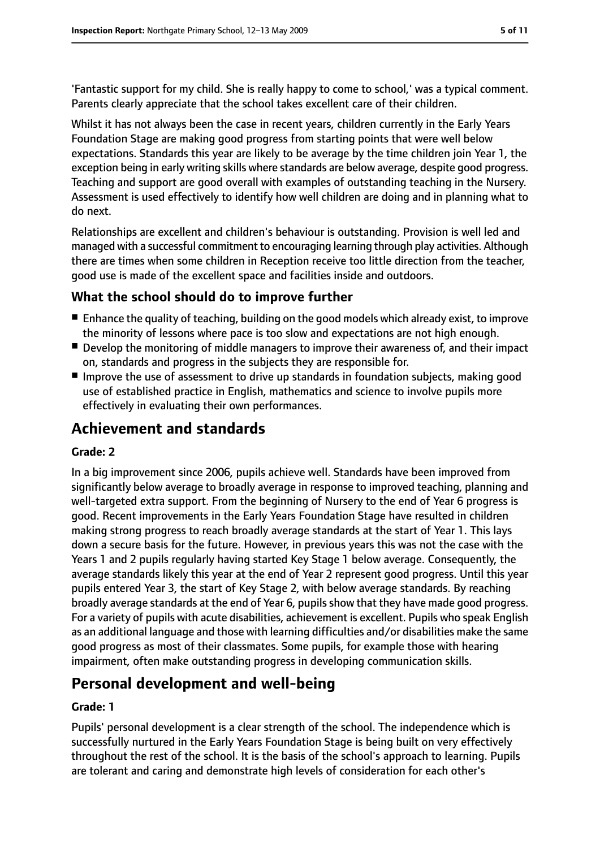'Fantastic support for my child. She is really happy to come to school,' was a typical comment. Parents clearly appreciate that the school takes excellent care of their children.

Whilst it has not always been the case in recent years, children currently in the Early Years Foundation Stage are making good progress from starting points that were well below expectations. Standards this year are likely to be average by the time children join Year 1, the exception being in early writing skills where standards are below average, despite good progress. Teaching and support are good overall with examples of outstanding teaching in the Nursery. Assessment is used effectively to identify how well children are doing and in planning what to do next.

Relationships are excellent and children's behaviour is outstanding. Provision is well led and managed with a successful commitment to encouraging learning through play activities. Although there are times when some children in Reception receive too little direction from the teacher, good use is made of the excellent space and facilities inside and outdoors.

### **What the school should do to improve further**

- Enhance the quality of teaching, building on the good models which already exist, to improve the minority of lessons where pace is too slow and expectations are not high enough.
- Develop the monitoring of middle managers to improve their awareness of, and their impact on, standards and progress in the subjects they are responsible for.
- Improve the use of assessment to drive up standards in foundation subjects, making good use of established practice in English, mathematics and science to involve pupils more effectively in evaluating their own performances.

# **Achievement and standards**

#### **Grade: 2**

In a big improvement since 2006, pupils achieve well. Standards have been improved from significantly below average to broadly average in response to improved teaching, planning and well-targeted extra support. From the beginning of Nursery to the end of Year 6 progress is good. Recent improvements in the Early Years Foundation Stage have resulted in children making strong progress to reach broadly average standards at the start of Year 1. This lays down a secure basis for the future. However, in previous years this was not the case with the Years 1 and 2 pupils regularly having started Key Stage 1 below average. Consequently, the average standards likely this year at the end of Year 2 represent good progress. Until this year pupils entered Year 3, the start of Key Stage 2, with below average standards. By reaching broadly average standards at the end of Year 6, pupilsshow that they have made good progress. For a variety of pupils with acute disabilities, achievement is excellent. Pupils who speak English as an additional language and those with learning difficulties and/or disabilities make the same good progress as most of their classmates. Some pupils, for example those with hearing impairment, often make outstanding progress in developing communication skills.

# **Personal development and well-being**

#### **Grade: 1**

Pupils' personal development is a clear strength of the school. The independence which is successfully nurtured in the Early Years Foundation Stage is being built on very effectively throughout the rest of the school. It is the basis of the school's approach to learning. Pupils are tolerant and caring and demonstrate high levels of consideration for each other's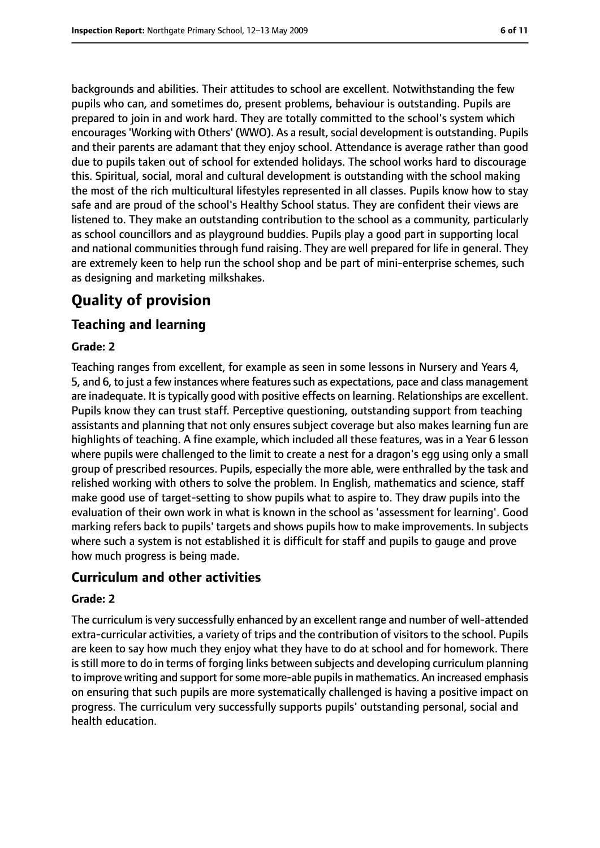backgrounds and abilities. Their attitudes to school are excellent. Notwithstanding the few pupils who can, and sometimes do, present problems, behaviour is outstanding. Pupils are prepared to join in and work hard. They are totally committed to the school's system which encourages 'Working with Others' (WWO). As a result, social development is outstanding. Pupils and their parents are adamant that they enjoy school. Attendance is average rather than good due to pupils taken out of school for extended holidays. The school works hard to discourage this. Spiritual, social, moral and cultural development is outstanding with the school making the most of the rich multicultural lifestyles represented in all classes. Pupils know how to stay safe and are proud of the school's Healthy School status. They are confident their views are listened to. They make an outstanding contribution to the school as a community, particularly as school councillors and as playground buddies. Pupils play a good part in supporting local and national communities through fund raising. They are well prepared for life in general. They are extremely keen to help run the school shop and be part of mini-enterprise schemes, such as designing and marketing milkshakes.

# **Quality of provision**

### **Teaching and learning**

#### **Grade: 2**

Teaching ranges from excellent, for example as seen in some lessons in Nursery and Years 4, 5, and 6, to just a few instances where features such as expectations, pace and class management are inadequate. It is typically good with positive effects on learning. Relationships are excellent. Pupils know they can trust staff. Perceptive questioning, outstanding support from teaching assistants and planning that not only ensures subject coverage but also makes learning fun are highlights of teaching. A fine example, which included all these features, was in a Year 6 lesson where pupils were challenged to the limit to create a nest for a dragon's egg using only a small group of prescribed resources. Pupils, especially the more able, were enthralled by the task and relished working with others to solve the problem. In English, mathematics and science, staff make good use of target-setting to show pupils what to aspire to. They draw pupils into the evaluation of their own work in what is known in the school as 'assessment for learning'. Good marking refers back to pupils' targets and shows pupils how to make improvements. In subjects where such a system is not established it is difficult for staff and pupils to gauge and prove how much progress is being made.

### **Curriculum and other activities**

#### **Grade: 2**

The curriculum is very successfully enhanced by an excellent range and number of well-attended extra-curricular activities, a variety of trips and the contribution of visitors to the school. Pupils are keen to say how much they enjoy what they have to do at school and for homework. There is still more to do in terms of forging links between subjects and developing curriculum planning to improve writing and support for some more-able pupils in mathematics. An increased emphasis on ensuring that such pupils are more systematically challenged is having a positive impact on progress. The curriculum very successfully supports pupils' outstanding personal, social and health education.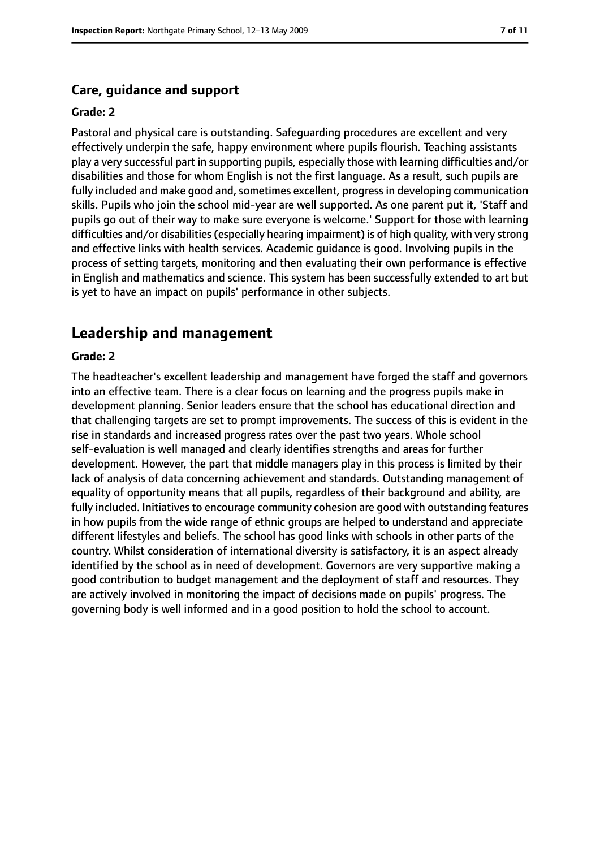#### **Care, guidance and support**

#### **Grade: 2**

Pastoral and physical care is outstanding. Safeguarding procedures are excellent and very effectively underpin the safe, happy environment where pupils flourish. Teaching assistants play a very successful part in supporting pupils, especially those with learning difficulties and/or disabilities and those for whom English is not the first language. As a result, such pupils are fully included and make good and, sometimes excellent, progress in developing communication skills. Pupils who join the school mid-year are well supported. As one parent put it, 'Staff and pupils go out of their way to make sure everyone is welcome.' Support for those with learning difficulties and/or disabilities(especially hearing impairment) is of high quality, with very strong and effective links with health services. Academic guidance is good. Involving pupils in the process of setting targets, monitoring and then evaluating their own performance is effective in English and mathematics and science. This system has been successfully extended to art but is yet to have an impact on pupils' performance in other subjects.

### **Leadership and management**

#### **Grade: 2**

The headteacher's excellent leadership and management have forged the staff and governors into an effective team. There is a clear focus on learning and the progress pupils make in development planning. Senior leaders ensure that the school has educational direction and that challenging targets are set to prompt improvements. The success of this is evident in the rise in standards and increased progress rates over the past two years. Whole school self-evaluation is well managed and clearly identifies strengths and areas for further development. However, the part that middle managers play in this process is limited by their lack of analysis of data concerning achievement and standards. Outstanding management of equality of opportunity means that all pupils, regardless of their background and ability, are fully included. Initiatives to encourage community cohesion are good with outstanding features in how pupils from the wide range of ethnic groups are helped to understand and appreciate different lifestyles and beliefs. The school has good links with schools in other parts of the country. Whilst consideration of international diversity is satisfactory, it is an aspect already identified by the school as in need of development. Governors are very supportive making a good contribution to budget management and the deployment of staff and resources. They are actively involved in monitoring the impact of decisions made on pupils' progress. The governing body is well informed and in a good position to hold the school to account.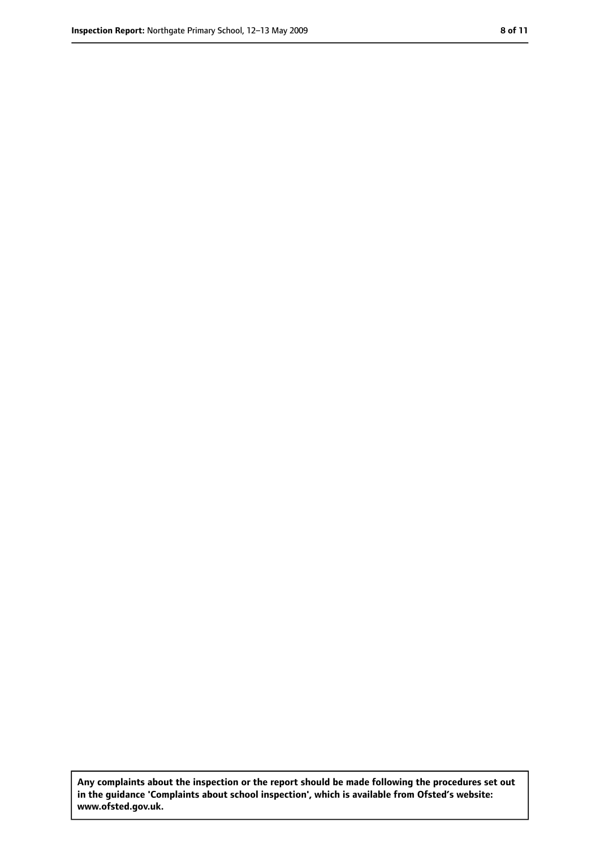**Any complaints about the inspection or the report should be made following the procedures set out in the guidance 'Complaints about school inspection', which is available from Ofsted's website: www.ofsted.gov.uk.**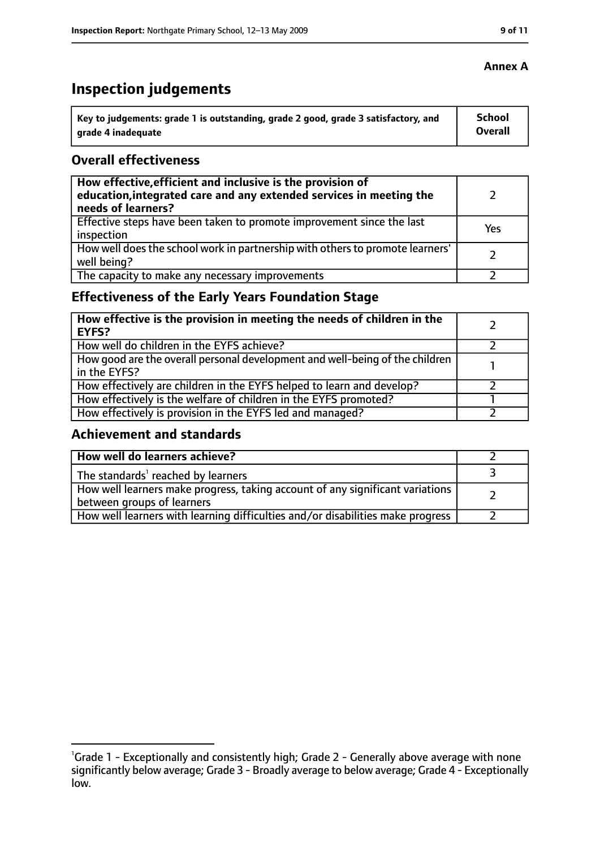# **Inspection judgements**

| ˈ Key to judgements: grade 1 is outstanding, grade 2 good, grade 3 satisfactory, and | School         |
|--------------------------------------------------------------------------------------|----------------|
| grade 4 inadequate                                                                   | <b>Overall</b> |

### **Overall effectiveness**

| How effective, efficient and inclusive is the provision of<br>education, integrated care and any extended services in meeting the<br>needs of learners? |     |
|---------------------------------------------------------------------------------------------------------------------------------------------------------|-----|
| Effective steps have been taken to promote improvement since the last<br>inspection                                                                     | Yes |
| How well does the school work in partnership with others to promote learners'<br>well being?                                                            |     |
| The capacity to make any necessary improvements                                                                                                         |     |

# **Effectiveness of the Early Years Foundation Stage**

| How effective is the provision in meeting the needs of children in the<br>EYFS?                |  |
|------------------------------------------------------------------------------------------------|--|
| How well do children in the EYFS achieve?                                                      |  |
| How good are the overall personal development and well-being of the children<br>I in the EYFS? |  |
| How effectively are children in the EYFS helped to learn and develop?                          |  |
| How effectively is the welfare of children in the EYFS promoted?                               |  |
| How effectively is provision in the EYFS led and managed?                                      |  |

### **Achievement and standards**

| How well do learners achieve?                                                  |  |
|--------------------------------------------------------------------------------|--|
| $\vert$ The standards <sup>1</sup> reached by learners                         |  |
| How well learners make progress, taking account of any significant variations  |  |
| between groups of learners                                                     |  |
| How well learners with learning difficulties and/or disabilities make progress |  |

#### **Annex A**

<sup>&</sup>lt;sup>1</sup>Grade 1 - Exceptionally and consistently high; Grade 2 - Generally above average with none significantly below average; Grade 3 - Broadly average to below average; Grade 4 - Exceptionally low.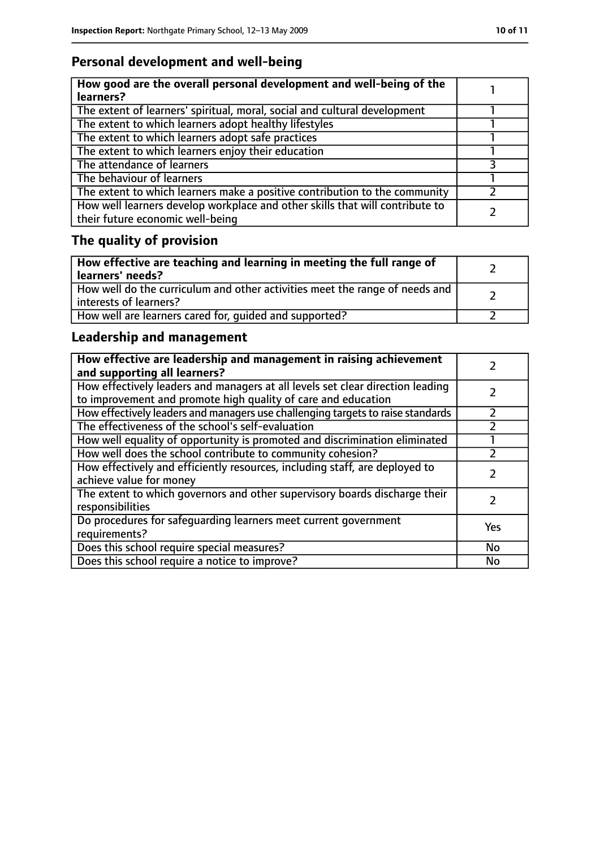# **Personal development and well-being**

| How good are the overall personal development and well-being of the<br>learners?                                 |  |
|------------------------------------------------------------------------------------------------------------------|--|
| The extent of learners' spiritual, moral, social and cultural development                                        |  |
| The extent to which learners adopt healthy lifestyles                                                            |  |
| The extent to which learners adopt safe practices                                                                |  |
| The extent to which learners enjoy their education                                                               |  |
| The attendance of learners                                                                                       |  |
| The behaviour of learners                                                                                        |  |
| The extent to which learners make a positive contribution to the community                                       |  |
| How well learners develop workplace and other skills that will contribute to<br>their future economic well-being |  |

# **The quality of provision**

| How effective are teaching and learning in meeting the full range of<br>learners' needs?              |  |
|-------------------------------------------------------------------------------------------------------|--|
| How well do the curriculum and other activities meet the range of needs and<br>interests of learners? |  |
| How well are learners cared for, quided and supported?                                                |  |

# **Leadership and management**

| How effective are leadership and management in raising achievement<br>and supporting all learners?                                              |     |
|-------------------------------------------------------------------------------------------------------------------------------------------------|-----|
| How effectively leaders and managers at all levels set clear direction leading<br>to improvement and promote high quality of care and education |     |
| How effectively leaders and managers use challenging targets to raise standards                                                                 |     |
| The effectiveness of the school's self-evaluation                                                                                               |     |
| How well equality of opportunity is promoted and discrimination eliminated                                                                      |     |
| How well does the school contribute to community cohesion?                                                                                      |     |
| How effectively and efficiently resources, including staff, are deployed to<br>achieve value for money                                          |     |
| The extent to which governors and other supervisory boards discharge their<br>responsibilities                                                  |     |
| Do procedures for safeguarding learners meet current government<br>requirements?                                                                | Yes |
| Does this school require special measures?                                                                                                      | No  |
| Does this school require a notice to improve?                                                                                                   | No  |